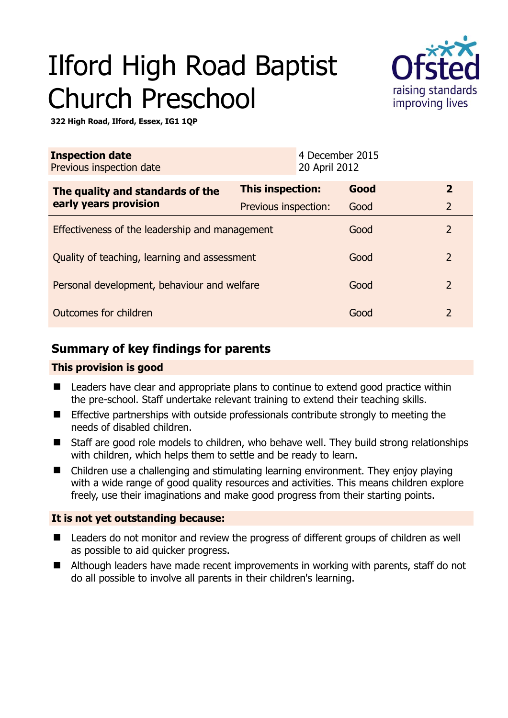# Ilford High Road Baptist Church Preschool



**322 High Road, Ilford, Essex, IG1 1QP** 

| <b>Inspection date</b><br>Previous inspection date        | 4 December 2015<br>20 April 2012 |      |                |
|-----------------------------------------------------------|----------------------------------|------|----------------|
| The quality and standards of the<br>early years provision | <b>This inspection:</b>          | Good | $\overline{2}$ |
|                                                           | Previous inspection:             | Good | $\overline{2}$ |
| Effectiveness of the leadership and management            |                                  | Good | $\overline{2}$ |
| Quality of teaching, learning and assessment              |                                  | Good | $\overline{2}$ |
| Personal development, behaviour and welfare               |                                  | Good | $\overline{2}$ |
| Outcomes for children                                     |                                  | Good | $\mathcal{P}$  |

## **Summary of key findings for parents**

#### **This provision is good**

- Leaders have clear and appropriate plans to continue to extend good practice within the pre-school. Staff undertake relevant training to extend their teaching skills.
- **Effective partnerships with outside professionals contribute strongly to meeting the** needs of disabled children.
- Staff are good role models to children, who behave well. They build strong relationships with children, which helps them to settle and be ready to learn.
- Children use a challenging and stimulating learning environment. They enjoy playing with a wide range of good quality resources and activities. This means children explore freely, use their imaginations and make good progress from their starting points.

#### **It is not yet outstanding because:**

- Leaders do not monitor and review the progress of different groups of children as well as possible to aid quicker progress.
- Although leaders have made recent improvements in working with parents, staff do not do all possible to involve all parents in their children's learning.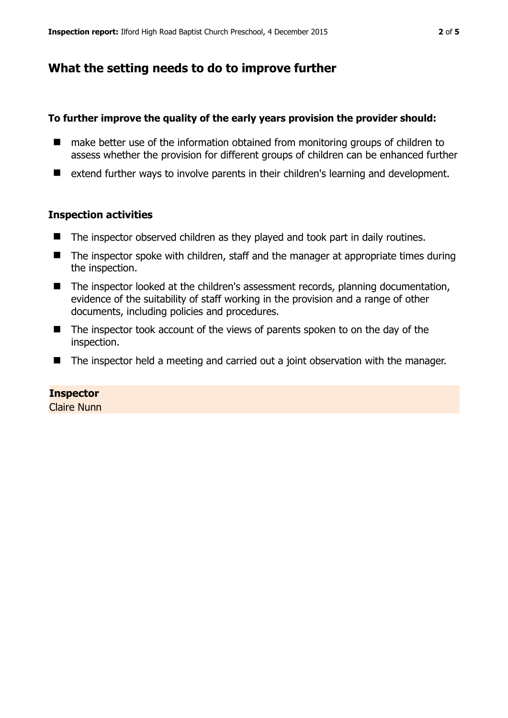## **What the setting needs to do to improve further**

#### **To further improve the quality of the early years provision the provider should:**

- make better use of the information obtained from monitoring groups of children to assess whether the provision for different groups of children can be enhanced further
- extend further ways to involve parents in their children's learning and development.

#### **Inspection activities**

- The inspector observed children as they played and took part in daily routines.
- $\blacksquare$  The inspector spoke with children, staff and the manager at appropriate times during the inspection.
- The inspector looked at the children's assessment records, planning documentation, evidence of the suitability of staff working in the provision and a range of other documents, including policies and procedures.
- The inspector took account of the views of parents spoken to on the day of the inspection.
- The inspector held a meeting and carried out a joint observation with the manager.

#### **Inspector**

Claire Nunn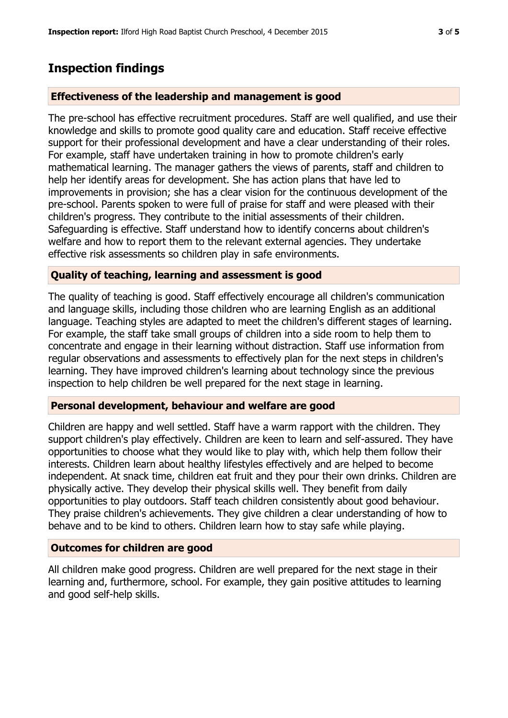## **Inspection findings**

#### **Effectiveness of the leadership and management is good**

The pre-school has effective recruitment procedures. Staff are well qualified, and use their knowledge and skills to promote good quality care and education. Staff receive effective support for their professional development and have a clear understanding of their roles. For example, staff have undertaken training in how to promote children's early mathematical learning. The manager gathers the views of parents, staff and children to help her identify areas for development. She has action plans that have led to improvements in provision; she has a clear vision for the continuous development of the pre-school. Parents spoken to were full of praise for staff and were pleased with their children's progress. They contribute to the initial assessments of their children. Safeguarding is effective. Staff understand how to identify concerns about children's welfare and how to report them to the relevant external agencies. They undertake effective risk assessments so children play in safe environments.

#### **Quality of teaching, learning and assessment is good**

The quality of teaching is good. Staff effectively encourage all children's communication and language skills, including those children who are learning English as an additional language. Teaching styles are adapted to meet the children's different stages of learning. For example, the staff take small groups of children into a side room to help them to concentrate and engage in their learning without distraction. Staff use information from regular observations and assessments to effectively plan for the next steps in children's learning. They have improved children's learning about technology since the previous inspection to help children be well prepared for the next stage in learning.

#### **Personal development, behaviour and welfare are good**

Children are happy and well settled. Staff have a warm rapport with the children. They support children's play effectively. Children are keen to learn and self-assured. They have opportunities to choose what they would like to play with, which help them follow their interests. Children learn about healthy lifestyles effectively and are helped to become independent. At snack time, children eat fruit and they pour their own drinks. Children are physically active. They develop their physical skills well. They benefit from daily opportunities to play outdoors. Staff teach children consistently about good behaviour. They praise children's achievements. They give children a clear understanding of how to behave and to be kind to others. Children learn how to stay safe while playing.

#### **Outcomes for children are good**

All children make good progress. Children are well prepared for the next stage in their learning and, furthermore, school. For example, they gain positive attitudes to learning and good self-help skills.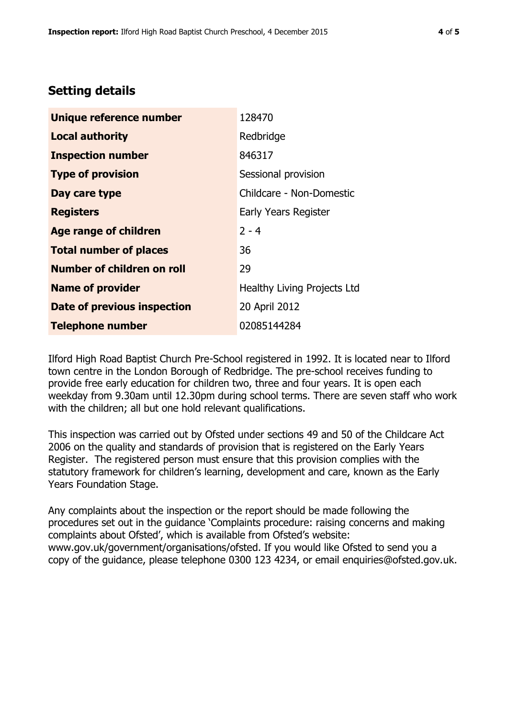### **Setting details**

| Unique reference number       | 128470                      |  |
|-------------------------------|-----------------------------|--|
| <b>Local authority</b>        | Redbridge                   |  |
| <b>Inspection number</b>      | 846317                      |  |
| <b>Type of provision</b>      | Sessional provision         |  |
| Day care type                 | Childcare - Non-Domestic    |  |
| <b>Registers</b>              | Early Years Register        |  |
| <b>Age range of children</b>  | $2 - 4$                     |  |
| <b>Total number of places</b> | 36                          |  |
| Number of children on roll    | 29                          |  |
| <b>Name of provider</b>       | Healthy Living Projects Ltd |  |
| Date of previous inspection   | 20 April 2012               |  |
| <b>Telephone number</b>       | 02085144284                 |  |

Ilford High Road Baptist Church Pre-School registered in 1992. It is located near to Ilford town centre in the London Borough of Redbridge. The pre-school receives funding to provide free early education for children two, three and four years. It is open each weekday from 9.30am until 12.30pm during school terms. There are seven staff who work with the children; all but one hold relevant qualifications.

This inspection was carried out by Ofsted under sections 49 and 50 of the Childcare Act 2006 on the quality and standards of provision that is registered on the Early Years Register. The registered person must ensure that this provision complies with the statutory framework for children's learning, development and care, known as the Early Years Foundation Stage.

Any complaints about the inspection or the report should be made following the procedures set out in the guidance 'Complaints procedure: raising concerns and making complaints about Ofsted', which is available from Ofsted's website: www.gov.uk/government/organisations/ofsted. If you would like Ofsted to send you a copy of the guidance, please telephone 0300 123 4234, or email enquiries@ofsted.gov.uk.